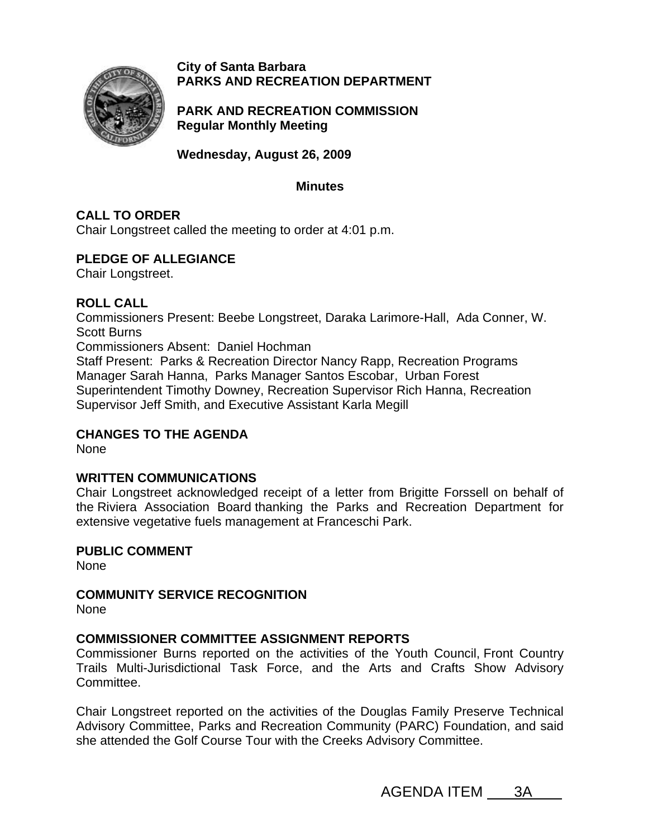

**City of Santa Barbara PARKS AND RECREATION DEPARTMENT**

**PARK AND RECREATION COMMISSION Regular Monthly Meeting** 

**Wednesday, August 26, 2009** 

### **Minutes**

# **CALL TO ORDER**

Chair Longstreet called the meeting to order at 4:01 p.m.

# **PLEDGE OF ALLEGIANCE**

Chair Longstreet.

## **ROLL CALL**

Commissioners Present: Beebe Longstreet, Daraka Larimore-Hall, Ada Conner, W. Scott Burns

Commissioners Absent: Daniel Hochman

Staff Present: Parks & Recreation Director Nancy Rapp, Recreation Programs Manager Sarah Hanna, Parks Manager Santos Escobar, Urban Forest Superintendent Timothy Downey, Recreation Supervisor Rich Hanna, Recreation Supervisor Jeff Smith, and Executive Assistant Karla Megill

## **CHANGES TO THE AGENDA**

None

## **WRITTEN COMMUNICATIONS**

Chair Longstreet acknowledged receipt of a letter from Brigitte Forssell on behalf of the Riviera Association Board thanking the Parks and Recreation Department for extensive vegetative fuels management at Franceschi Park.

**PUBLIC COMMENT**  None

**COMMUNITY SERVICE RECOGNITION**

None

## **COMMISSIONER COMMITTEE ASSIGNMENT REPORTS**

Commissioner Burns reported on the activities of the Youth Council, Front Country Trails Multi-Jurisdictional Task Force, and the Arts and Crafts Show Advisory Committee.

Chair Longstreet reported on the activities of the Douglas Family Preserve Technical Advisory Committee, Parks and Recreation Community (PARC) Foundation, and said she attended the Golf Course Tour with the Creeks Advisory Committee.

AGENDA ITEM 3A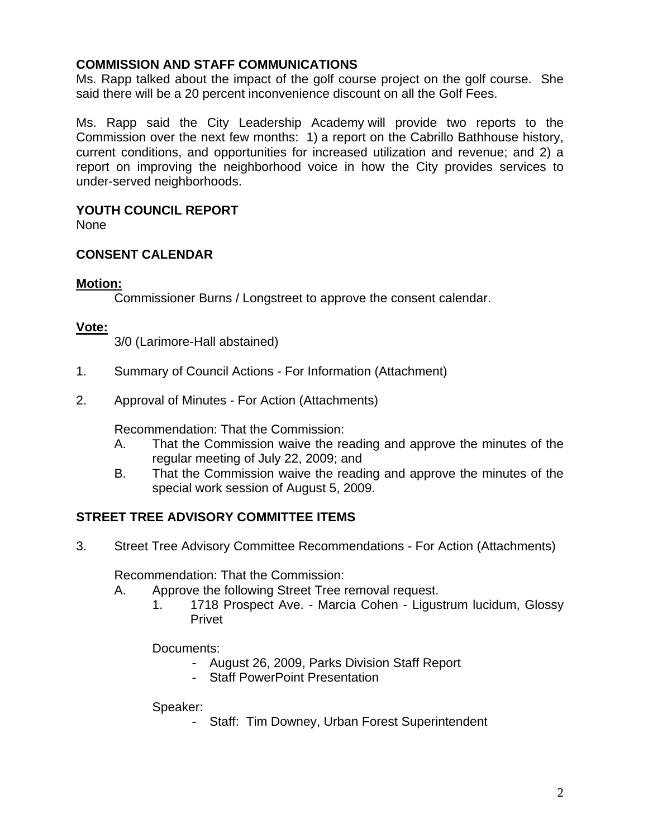### **COMMISSION AND STAFF COMMUNICATIONS**

Ms. Rapp talked about the impact of the golf course project on the golf course. She said there will be a 20 percent inconvenience discount on all the Golf Fees.

Ms. Rapp said the City Leadership Academy will provide two reports to the Commission over the next few months: 1) a report on the Cabrillo Bathhouse history, current conditions, and opportunities for increased utilization and revenue; and 2) a report on improving the neighborhood voice in how the City provides services to under-served neighborhoods.

### **YOUTH COUNCIL REPORT**

None

## **CONSENT CALENDAR**

### **Motion:**

Commissioner Burns / Longstreet to approve the consent calendar.

#### **Vote:**

3/0 (Larimore-Hall abstained)

- 1. Summary of Council Actions For Information (Attachment)
- 2. Approval of Minutes For Action (Attachments)

Recommendation: That the Commission:

- A. That the Commission waive the reading and approve the minutes of the regular meeting of July 22, 2009; and
- B. That the Commission waive the reading and approve the minutes of the special work session of August 5, 2009.

## **STREET TREE ADVISORY COMMITTEE ITEMS**

3. Street Tree Advisory Committee Recommendations - For Action (Attachments)

Recommendation: That the Commission:

- A. Approve the following Street Tree removal request.
	- 1. 1718 Prospect Ave. Marcia Cohen Ligustrum lucidum, Glossy Privet

Documents:

- August 26, 2009, Parks Division Staff Report
- Staff PowerPoint Presentation

Speaker:

- Staff: Tim Downey, Urban Forest Superintendent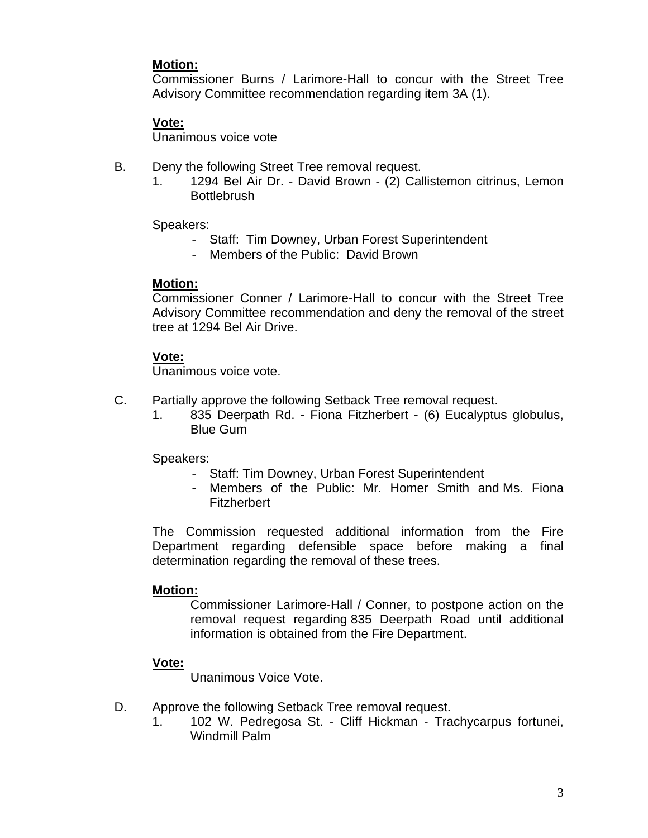### **Motion:**

Commissioner Burns / Larimore-Hall to concur with the Street Tree Advisory Committee recommendation regarding item 3A (1).

## **Vote:**

Unanimous voice vote

- B. Deny the following Street Tree removal request.
	- 1. 1294 Bel Air Dr. David Brown (2) Callistemon citrinus, Lemon **Bottlebrush**

Speakers:

- Staff: Tim Downey, Urban Forest Superintendent
- Members of the Public: David Brown

### **Motion:**

 Commissioner Conner / Larimore-Hall to concur with the Street Tree Advisory Committee recommendation and deny the removal of the street tree at 1294 Bel Air Drive.

## **Vote:**

Unanimous voice vote.

- C. Partially approve the following Setback Tree removal request.
	- 1. 835 Deerpath Rd. Fiona Fitzherbert (6) Eucalyptus globulus, Blue Gum

Speakers:

- Staff: Tim Downey, Urban Forest Superintendent
- Members of the Public: Mr. Homer Smith and Ms. Fiona Fitzherbert

 The Commission requested additional information from the Fire Department regarding defensible space before making a final determination regarding the removal of these trees.

## **Motion:**

 Commissioner Larimore-Hall / Conner, to postpone action on the removal request regarding 835 Deerpath Road until additional information is obtained from the Fire Department.

## **Vote:**

Unanimous Voice Vote.

- D. Approve the following Setback Tree removal request.
	- 1. 102 W. Pedregosa St. Cliff Hickman Trachycarpus fortunei, Windmill Palm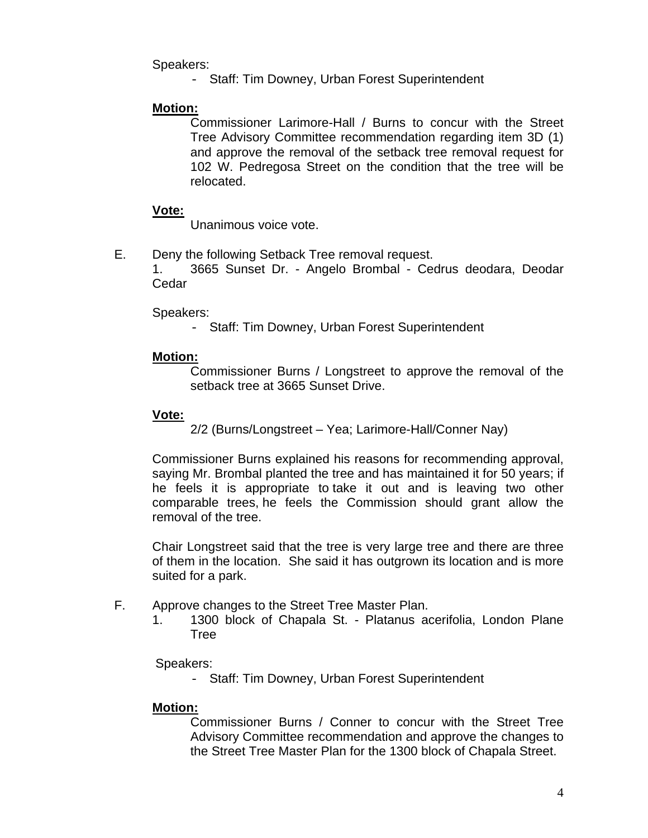Speakers:

- Staff: Tim Downey, Urban Forest Superintendent

### **Motion:**

Commissioner Larimore-Hall / Burns to concur with the Street Tree Advisory Committee recommendation regarding item 3D (1) and approve the removal of the setback tree removal request for 102 W. Pedregosa Street on the condition that the tree will be relocated.

### **Vote:**

Unanimous voice vote.

E. Deny the following Setback Tree removal request.

1. 3665 Sunset Dr. - Angelo Brombal - Cedrus deodara, Deodar Cedar

### Speakers:

- Staff: Tim Downey, Urban Forest Superintendent

## **Motion:**

Commissioner Burns / Longstreet to approve the removal of the setback tree at 3665 Sunset Drive.

### **Vote:**

2/2 (Burns/Longstreet – Yea; Larimore-Hall/Conner Nay)

Commissioner Burns explained his reasons for recommending approval, saying Mr. Brombal planted the tree and has maintained it for 50 years; if he feels it is appropriate to take it out and is leaving two other comparable trees, he feels the Commission should grant allow the removal of the tree.

Chair Longstreet said that the tree is very large tree and there are three of them in the location. She said it has outgrown its location and is more suited for a park.

- F. Approve changes to the Street Tree Master Plan.
	- 1. 1300 block of Chapala St. Platanus acerifolia, London Plane Tree

Speakers:

- Staff: Tim Downey, Urban Forest Superintendent

## **Motion:**

Commissioner Burns / Conner to concur with the Street Tree Advisory Committee recommendation and approve the changes to the Street Tree Master Plan for the 1300 block of Chapala Street.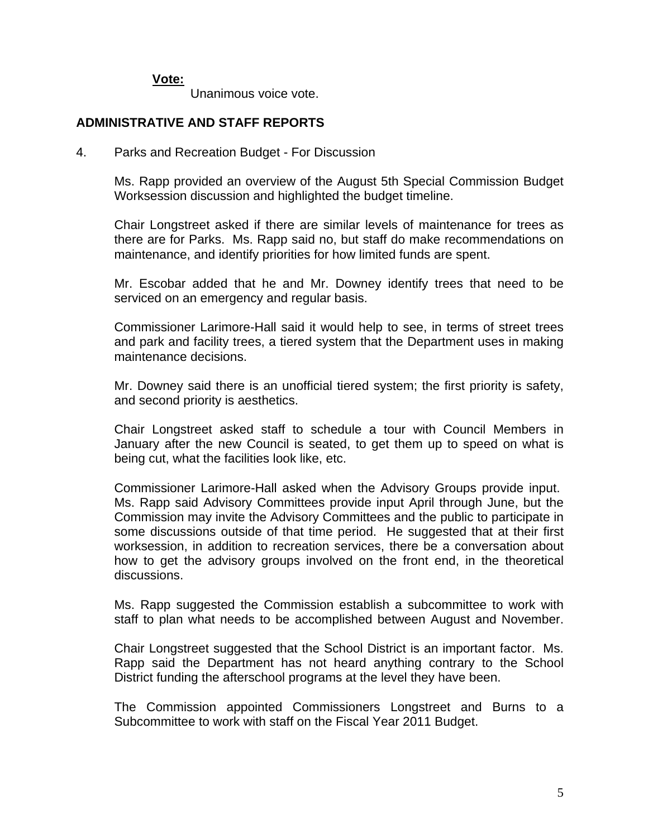#### **Vote:**

Unanimous voice vote.

### **ADMINISTRATIVE AND STAFF REPORTS**

4.Parks and Recreation Budget - For Discussion

Ms. Rapp provided an overview of the August 5th Special Commission Budget Worksession discussion and highlighted the budget timeline.

Chair Longstreet asked if there are similar levels of maintenance for trees as there are for Parks. Ms. Rapp said no, but staff do make recommendations on maintenance, and identify priorities for how limited funds are spent.

Mr. Escobar added that he and Mr. Downey identify trees that need to be serviced on an emergency and regular basis.

Commissioner Larimore-Hall said it would help to see, in terms of street trees and park and facility trees, a tiered system that the Department uses in making maintenance decisions.

Mr. Downey said there is an unofficial tiered system; the first priority is safety, and second priority is aesthetics.

Chair Longstreet asked staff to schedule a tour with Council Members in January after the new Council is seated, to get them up to speed on what is being cut, what the facilities look like, etc.

Commissioner Larimore-Hall asked when the Advisory Groups provide input. Ms. Rapp said Advisory Committees provide input April through June, but the Commission may invite the Advisory Committees and the public to participate in some discussions outside of that time period. He suggested that at their first worksession, in addition to recreation services, there be a conversation about how to get the advisory groups involved on the front end, in the theoretical discussions.

Ms. Rapp suggested the Commission establish a subcommittee to work with staff to plan what needs to be accomplished between August and November.

Chair Longstreet suggested that the School District is an important factor. Ms. Rapp said the Department has not heard anything contrary to the School District funding the afterschool programs at the level they have been.

The Commission appointed Commissioners Longstreet and Burns to a Subcommittee to work with staff on the Fiscal Year 2011 Budget.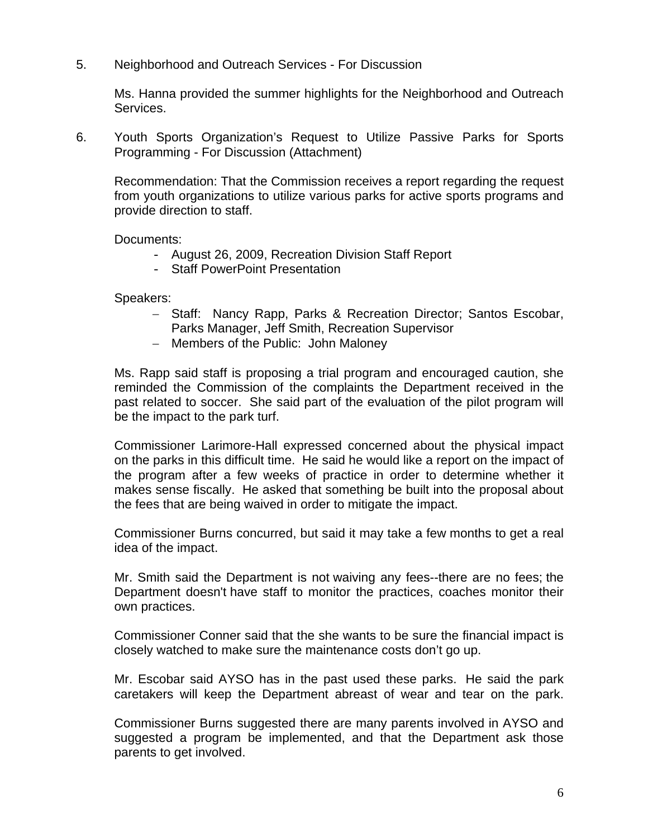5. Neighborhood and Outreach Services - For Discussion

Ms. Hanna provided the summer highlights for the Neighborhood and Outreach Services.

6. Youth Sports Organization's Request to Utilize Passive Parks for Sports Programming - For Discussion (Attachment)

Recommendation: That the Commission receives a report regarding the request from youth organizations to utilize various parks for active sports programs and provide direction to staff.

Documents:

- August 26, 2009, Recreation Division Staff Report
- Staff PowerPoint Presentation

Speakers:

- − Staff: Nancy Rapp, Parks & Recreation Director; Santos Escobar, Parks Manager, Jeff Smith, Recreation Supervisor
- − Members of the Public: John Maloney

Ms. Rapp said staff is proposing a trial program and encouraged caution, she reminded the Commission of the complaints the Department received in the past related to soccer. She said part of the evaluation of the pilot program will be the impact to the park turf.

Commissioner Larimore-Hall expressed concerned about the physical impact on the parks in this difficult time. He said he would like a report on the impact of the program after a few weeks of practice in order to determine whether it makes sense fiscally. He asked that something be built into the proposal about the fees that are being waived in order to mitigate the impact.

Commissioner Burns concurred, but said it may take a few months to get a real idea of the impact.

Mr. Smith said the Department is not waiving any fees--there are no fees; the Department doesn't have staff to monitor the practices, coaches monitor their own practices.

Commissioner Conner said that the she wants to be sure the financial impact is closely watched to make sure the maintenance costs don't go up.

Mr. Escobar said AYSO has in the past used these parks. He said the park caretakers will keep the Department abreast of wear and tear on the park.

Commissioner Burns suggested there are many parents involved in AYSO and suggested a program be implemented, and that the Department ask those parents to get involved.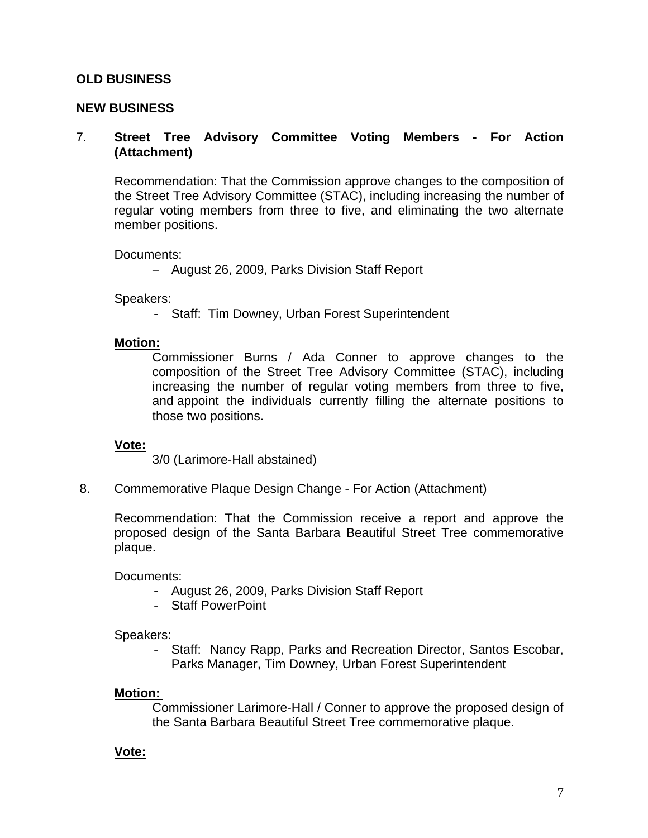### **OLD BUSINESS**

### **NEW BUSINESS**

### 7. **Street Tree Advisory Committee Voting Members - For Action (Attachment)**

Recommendation: That the Commission approve changes to the composition of the Street Tree Advisory Committee (STAC), including increasing the number of regular voting members from three to five, and eliminating the two alternate member positions.

Documents:

− August 26, 2009, Parks Division Staff Report

Speakers:

- Staff: Tim Downey, Urban Forest Superintendent

#### **Motion:**

Commissioner Burns / Ada Conner to approve changes to the composition of the Street Tree Advisory Committee (STAC), including increasing the number of regular voting members from three to five, and appoint the individuals currently filling the alternate positions to those two positions.

#### **Vote:**

3/0 (Larimore-Hall abstained)

8.Commemorative Plaque Design Change - For Action (Attachment)

Recommendation: That the Commission receive a report and approve the proposed design of the Santa Barbara Beautiful Street Tree commemorative plaque.

Documents:

- August 26, 2009, Parks Division Staff Report
- Staff PowerPoint

Speakers:

- Staff: Nancy Rapp, Parks and Recreation Director, Santos Escobar, Parks Manager, Tim Downey, Urban Forest Superintendent

### **Motion:**

Commissioner Larimore-Hall / Conner to approve the proposed design of the Santa Barbara Beautiful Street Tree commemorative plaque.

### **Vote:**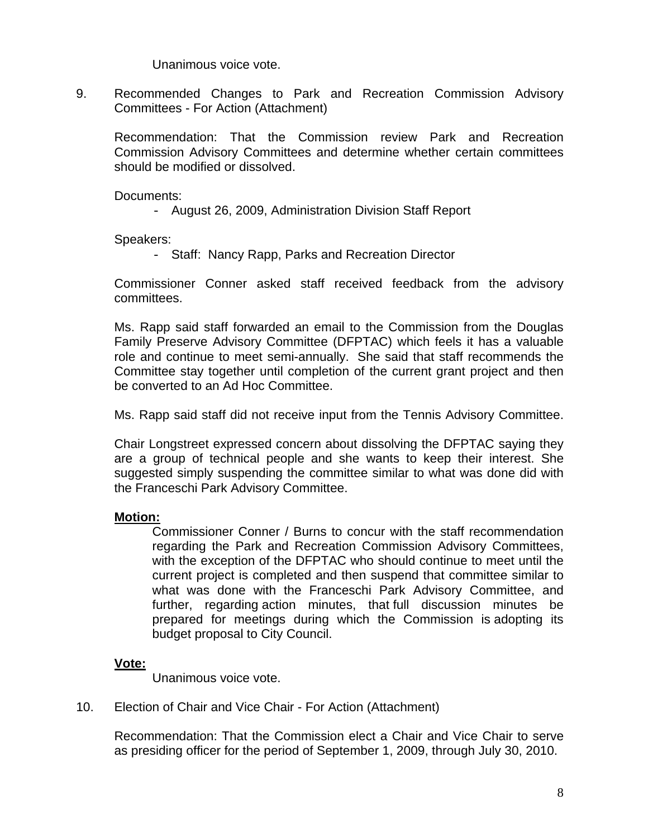Unanimous voice vote.

9. Recommended Changes to Park and Recreation Commission Advisory Committees - For Action (Attachment)

Recommendation: That the Commission review Park and Recreation Commission Advisory Committees and determine whether certain committees should be modified or dissolved.

Documents:

- August 26, 2009, Administration Division Staff Report

Speakers:

- Staff: Nancy Rapp, Parks and Recreation Director

Commissioner Conner asked staff received feedback from the advisory committees.

Ms. Rapp said staff forwarded an email to the Commission from the Douglas Family Preserve Advisory Committee (DFPTAC) which feels it has a valuable role and continue to meet semi-annually. She said that staff recommends the Committee stay together until completion of the current grant project and then be converted to an Ad Hoc Committee.

Ms. Rapp said staff did not receive input from the Tennis Advisory Committee.

Chair Longstreet expressed concern about dissolving the DFPTAC saying they are a group of technical people and she wants to keep their interest. She suggested simply suspending the committee similar to what was done did with the Franceschi Park Advisory Committee.

## **Motion:**

Commissioner Conner / Burns to concur with the staff recommendation regarding the Park and Recreation Commission Advisory Committees, with the exception of the DFPTAC who should continue to meet until the current project is completed and then suspend that committee similar to what was done with the Franceschi Park Advisory Committee, and further, regarding action minutes, that full discussion minutes be prepared for meetings during which the Commission is adopting its budget proposal to City Council.

## **Vote:**

Unanimous voice vote.

### 10. Election of Chair and Vice Chair - For Action (Attachment)

Recommendation: That the Commission elect a Chair and Vice Chair to serve as presiding officer for the period of September 1, 2009, through July 30, 2010.